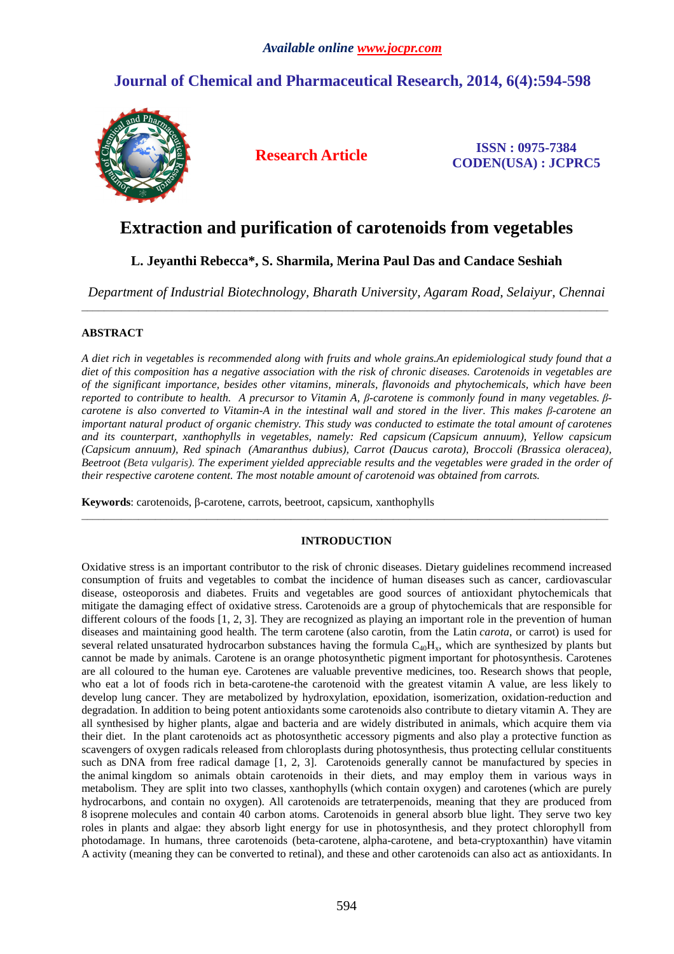## **Journal of Chemical and Pharmaceutical Research, 2014, 6(4):594-598**



**Research Article ISSN : 0975-7384 CODEN(USA) : JCPRC5**

# **Extraction and purification of carotenoids from vegetables**

## **L. Jeyanthi Rebecca\*, S. Sharmila, Merina Paul Das and Candace Seshiah**

*Department of Industrial Biotechnology, Bharath University, Agaram Road, Selaiyur, Chennai*  \_\_\_\_\_\_\_\_\_\_\_\_\_\_\_\_\_\_\_\_\_\_\_\_\_\_\_\_\_\_\_\_\_\_\_\_\_\_\_\_\_\_\_\_\_\_\_\_\_\_\_\_\_\_\_\_\_\_\_\_\_\_\_\_\_\_\_\_\_\_\_\_\_\_\_\_\_\_\_\_\_\_\_\_\_\_\_\_\_\_\_\_\_

### **ABSTRACT**

*A diet rich in vegetables is recommended along with fruits and whole grains.An epidemiological study found that a diet of this composition has a negative association with the risk of chronic diseases. Carotenoids in vegetables are of the significant importance, besides other vitamins, minerals, flavonoids and phytochemicals, which have been reported to contribute to health. A precursor to Vitamin A, β-carotene is commonly found in many vegetables. βcarotene is also converted to Vitamin-A in the intestinal wall and stored in the liver. This makes β-carotene an important natural product of organic chemistry. This study was conducted to estimate the total amount of carotenes and its counterpart, xanthophylls in vegetables, namely: Red capsicum (Capsicum annuum), Yellow capsicum (Capsicum annuum), Red spinach (Amaranthus dubius), Carrot (Daucus carota), Broccoli (Brassica oleracea), Beetroot (Beta vulgaris). The experiment yielded appreciable results and the vegetables were graded in the order of their respective carotene content. The most notable amount of carotenoid was obtained from carrots.* 

**Keywords**: carotenoids, β-carotene, carrots, beetroot, capsicum, xanthophylls

### **INTRODUCTION**

\_\_\_\_\_\_\_\_\_\_\_\_\_\_\_\_\_\_\_\_\_\_\_\_\_\_\_\_\_\_\_\_\_\_\_\_\_\_\_\_\_\_\_\_\_\_\_\_\_\_\_\_\_\_\_\_\_\_\_\_\_\_\_\_\_\_\_\_\_\_\_\_\_\_\_\_\_\_\_\_\_\_\_\_\_\_\_\_\_\_\_\_\_

Oxidative stress is an important contributor to the risk of chronic diseases. Dietary guidelines recommend increased consumption of fruits and vegetables to combat the incidence of human diseases such as cancer, cardiovascular disease, osteoporosis and diabetes. Fruits and vegetables are good sources of antioxidant phytochemicals that mitigate the damaging effect of oxidative stress. Carotenoids are a group of phytochemicals that are responsible for different colours of the foods [1, 2, 3]. They are recognized as playing an important role in the prevention of human diseases and maintaining good health. The term carotene (also carotin, from the Latin *carota*, or carrot) is used for several related unsaturated hydrocarbon substances having the formula  $C_{40}H_x$ , which are synthesized by plants but cannot be made by animals. Carotene is an orange photosynthetic pigment important for photosynthesis. Carotenes are all coloured to the human eye. Carotenes are valuable preventive medicines, too. Research shows that people, who eat a lot of foods rich in beta-carotene-the carotenoid with the greatest vitamin A value, are less likely to develop lung cancer. They are metabolized by hydroxylation, epoxidation, isomerization, oxidation-reduction and degradation. In addition to being potent antioxidants some carotenoids also contribute to dietary vitamin A. They are all synthesised by higher plants, algae and bacteria and are widely distributed in animals, which acquire them via their diet. In the plant carotenoids act as photosynthetic accessory pigments and also play a protective function as scavengers of oxygen radicals released from chloroplasts during photosynthesis, thus protecting cellular constituents such as DNA from free radical damage [1, 2, 3]. Carotenoids generally cannot be manufactured by species in the animal kingdom so animals obtain carotenoids in their diets, and may employ them in various ways in metabolism. They are split into two classes, xanthophylls (which contain oxygen) and carotenes (which are purely hydrocarbons, and contain no oxygen). All carotenoids are tetraterpenoids, meaning that they are produced from 8 isoprene molecules and contain 40 carbon atoms. Carotenoids in general absorb blue light. They serve two key roles in plants and algae: they absorb light energy for use in photosynthesis, and they protect chlorophyll from photodamage. In humans, three carotenoids (beta-carotene, alpha-carotene, and beta-cryptoxanthin) have vitamin A activity (meaning they can be converted to retinal), and these and other carotenoids can also act as antioxidants. In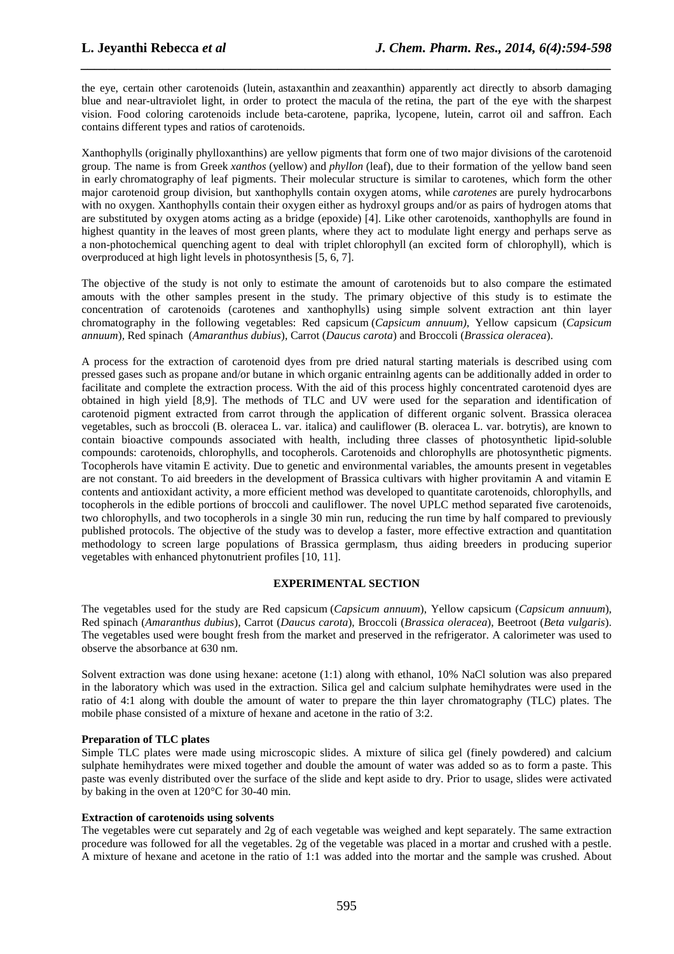the eye, certain other carotenoids (lutein, astaxanthin and zeaxanthin) apparently act directly to absorb damaging blue and near-ultraviolet light, in order to protect the macula of the retina, the part of the eye with the sharpest vision. Food coloring carotenoids include beta-carotene, paprika, lycopene, lutein, carrot oil and saffron. Each contains different types and ratios of carotenoids.

*\_\_\_\_\_\_\_\_\_\_\_\_\_\_\_\_\_\_\_\_\_\_\_\_\_\_\_\_\_\_\_\_\_\_\_\_\_\_\_\_\_\_\_\_\_\_\_\_\_\_\_\_\_\_\_\_\_\_\_\_\_\_\_\_\_\_\_\_\_\_\_\_\_\_\_\_\_\_*

Xanthophylls (originally phylloxanthins) are yellow pigments that form one of two major divisions of the carotenoid group. The name is from Greek *xanthos* (yellow) and *phyllon* (leaf), due to their formation of the yellow band seen in early chromatography of leaf pigments. Their molecular structure is similar to carotenes, which form the other major carotenoid group division, but xanthophylls contain oxygen atoms, while *carotenes* are purely hydrocarbons with no oxygen. Xanthophylls contain their oxygen either as hydroxyl groups and/or as pairs of hydrogen atoms that are substituted by oxygen atoms acting as a bridge (epoxide) [4]. Like other carotenoids, xanthophylls are found in highest quantity in the leaves of most green plants, where they act to modulate light energy and perhaps serve as a non-photochemical quenching agent to deal with triplet chlorophyll (an excited form of chlorophyll), which is overproduced at high light levels in photosynthesis [5, 6, 7].

The objective of the study is not only to estimate the amount of carotenoids but to also compare the estimated amouts with the other samples present in the study. The primary objective of this study is to estimate the concentration of carotenoids (carotenes and xanthophylls) using simple solvent extraction ant thin layer chromatography in the following vegetables: Red capsicum (*Capsicum annuum),* Yellow capsicum (*Capsicum annuum*)*,* Red spinach (*Amaranthus dubius*), Carrot (*Daucus carota*) and Broccoli (*Brassica oleracea*).

A process for the extraction of carotenoid dyes from pre dried natural starting materials is described using com pressed gases such as propane and/or butane in which organic entrainlng agents can be additionally added in order to facilitate and complete the extraction process. With the aid of this process highly concentrated carotenoid dyes are obtained in high yield [8,9]. The methods of TLC and UV were used for the separation and identification of carotenoid pigment extracted from carrot through the application of different organic solvent. Brassica oleracea vegetables, such as broccoli (B. oleracea L. var. italica) and cauliflower (B. oleracea L. var. botrytis), are known to contain bioactive compounds associated with health, including three classes of photosynthetic lipid-soluble compounds: carotenoids, chlorophylls, and tocopherols. Carotenoids and chlorophylls are photosynthetic pigments. Tocopherols have vitamin E activity. Due to genetic and environmental variables, the amounts present in vegetables are not constant. To aid breeders in the development of Brassica cultivars with higher provitamin A and vitamin E contents and antioxidant activity, a more efficient method was developed to quantitate carotenoids, chlorophylls, and tocopherols in the edible portions of broccoli and cauliflower. The novel UPLC method separated five carotenoids, two chlorophylls, and two tocopherols in a single 30 min run, reducing the run time by half compared to previously published protocols. The objective of the study was to develop a faster, more effective extraction and quantitation methodology to screen large populations of Brassica germplasm, thus aiding breeders in producing superior vegetables with enhanced phytonutrient profiles [10, 11].

#### **EXPERIMENTAL SECTION**

The vegetables used for the study are Red capsicum (*Capsicum annuum*), Yellow capsicum (*Capsicum annuum*), Red spinach (*Amaranthus dubius*), Carrot (*Daucus carota*), Broccoli (*Brassica oleracea*), Beetroot (*Beta vulgaris*). The vegetables used were bought fresh from the market and preserved in the refrigerator. A calorimeter was used to observe the absorbance at 630 nm.

Solvent extraction was done using hexane: acetone (1:1) along with ethanol, 10% NaCl solution was also prepared in the laboratory which was used in the extraction. Silica gel and calcium sulphate hemihydrates were used in the ratio of 4:1 along with double the amount of water to prepare the thin layer chromatography (TLC) plates. The mobile phase consisted of a mixture of hexane and acetone in the ratio of 3:2.

#### **Preparation of TLC plates**

Simple TLC plates were made using microscopic slides. A mixture of silica gel (finely powdered) and calcium sulphate hemihydrates were mixed together and double the amount of water was added so as to form a paste. This paste was evenly distributed over the surface of the slide and kept aside to dry. Prior to usage, slides were activated by baking in the oven at 120°C for 30-40 min.

#### **Extraction of carotenoids using solvents**

The vegetables were cut separately and 2g of each vegetable was weighed and kept separately. The same extraction procedure was followed for all the vegetables. 2g of the vegetable was placed in a mortar and crushed with a pestle. A mixture of hexane and acetone in the ratio of 1:1 was added into the mortar and the sample was crushed. About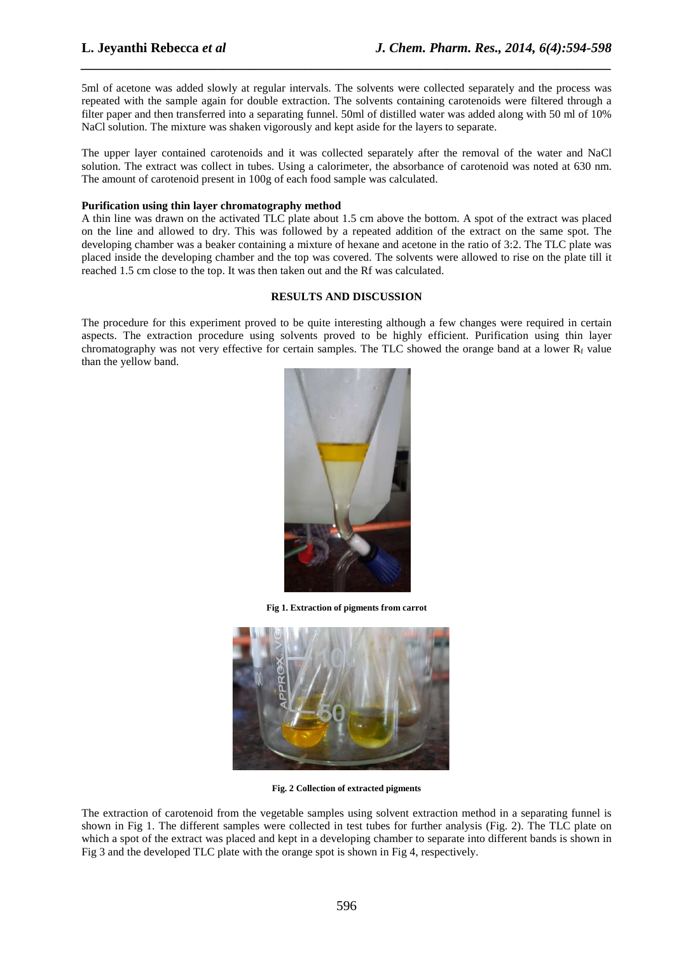5ml of acetone was added slowly at regular intervals. The solvents were collected separately and the process was repeated with the sample again for double extraction. The solvents containing carotenoids were filtered through a filter paper and then transferred into a separating funnel. 50ml of distilled water was added along with 50 ml of 10% NaCl solution. The mixture was shaken vigorously and kept aside for the layers to separate.

*\_\_\_\_\_\_\_\_\_\_\_\_\_\_\_\_\_\_\_\_\_\_\_\_\_\_\_\_\_\_\_\_\_\_\_\_\_\_\_\_\_\_\_\_\_\_\_\_\_\_\_\_\_\_\_\_\_\_\_\_\_\_\_\_\_\_\_\_\_\_\_\_\_\_\_\_\_\_*

The upper layer contained carotenoids and it was collected separately after the removal of the water and NaCl solution. The extract was collect in tubes. Using a calorimeter, the absorbance of carotenoid was noted at 630 nm. The amount of carotenoid present in 100g of each food sample was calculated.

#### **Purification using thin layer chromatography method**

A thin line was drawn on the activated TLC plate about 1.5 cm above the bottom. A spot of the extract was placed on the line and allowed to dry. This was followed by a repeated addition of the extract on the same spot. The developing chamber was a beaker containing a mixture of hexane and acetone in the ratio of 3:2. The TLC plate was placed inside the developing chamber and the top was covered. The solvents were allowed to rise on the plate till it reached 1.5 cm close to the top. It was then taken out and the Rf was calculated.

#### **RESULTS AND DISCUSSION**

The procedure for this experiment proved to be quite interesting although a few changes were required in certain aspects. The extraction procedure using solvents proved to be highly efficient. Purification using thin layer chromatography was not very effective for certain samples. The TLC showed the orange band at a lower  $R_f$  value than the yellow band.



**Fig 1. Extraction of pigments from carrot** 



**Fig. 2 Collection of extracted pigments** 

The extraction of carotenoid from the vegetable samples using solvent extraction method in a separating funnel is shown in Fig 1. The different samples were collected in test tubes for further analysis (Fig. 2). The TLC plate on which a spot of the extract was placed and kept in a developing chamber to separate into different bands is shown in Fig 3 and the developed TLC plate with the orange spot is shown in Fig 4, respectively.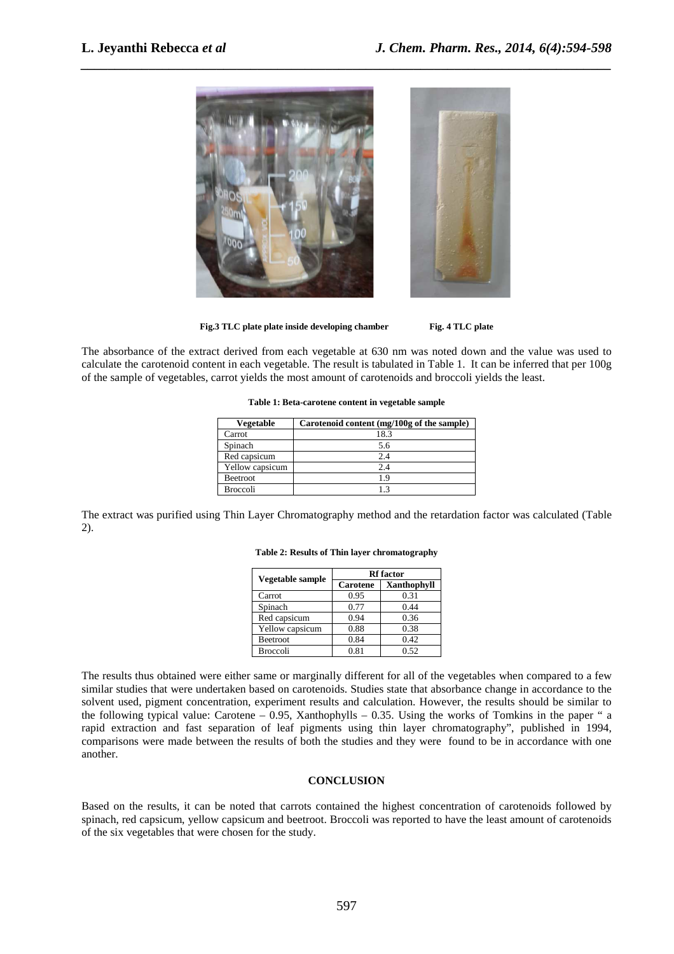

*\_\_\_\_\_\_\_\_\_\_\_\_\_\_\_\_\_\_\_\_\_\_\_\_\_\_\_\_\_\_\_\_\_\_\_\_\_\_\_\_\_\_\_\_\_\_\_\_\_\_\_\_\_\_\_\_\_\_\_\_\_\_\_\_\_\_\_\_\_\_\_\_\_\_\_\_\_\_*

Fig.3 TLC plate plate inside developing chamber Fig. 4 TLC plate

The absorbance of the extract derived from each vegetable at 630 nm was noted down and the value was used to calculate the carotenoid content in each vegetable. The result is tabulated in Table 1. It can be inferred that per 100g of the sample of vegetables, carrot yields the most amount of carotenoids and broccoli yields the least.

**Table 1: Beta-carotene content in vegetable sample** 

| Vegetable       | Carotenoid content (mg/100g of the sample) |  |
|-----------------|--------------------------------------------|--|
| Carrot          | 18.3                                       |  |
| Spinach         | 5.6                                        |  |
| Red capsicum    | 2.4                                        |  |
| Yellow capsicum | 2.4                                        |  |
| <b>Beetroot</b> | 19                                         |  |
| <b>Broccoli</b> |                                            |  |

The extract was purified using Thin Layer Chromatography method and the retardation factor was calculated (Table 2).

| Vegetable sample | <b>Rf</b> factor |                    |
|------------------|------------------|--------------------|
|                  | Carotene         | <b>Xanthophyll</b> |
| Carrot           | 0.95             | 0.31               |
| Spinach          | 0.77             | 0.44               |
| Red capsicum     | 0.94             | 0.36               |
| Yellow capsicum  | 0.88             | 0.38               |
| <b>Beetroot</b>  | 0.84             | 0.42               |
| <b>Broccoli</b>  | 0.81             | 0.52               |

**Table 2: Results of Thin layer chromatography** 

The results thus obtained were either same or marginally different for all of the vegetables when compared to a few similar studies that were undertaken based on carotenoids. Studies state that absorbance change in accordance to the solvent used, pigment concentration, experiment results and calculation. However, the results should be similar to the following typical value: Carotene – 0.95, Xanthophylls – 0.35. Using the works of Tomkins in the paper " a rapid extraction and fast separation of leaf pigments using thin layer chromatography", published in 1994, comparisons were made between the results of both the studies and they were found to be in accordance with one another.

#### **CONCLUSION**

Based on the results, it can be noted that carrots contained the highest concentration of carotenoids followed by spinach, red capsicum, yellow capsicum and beetroot. Broccoli was reported to have the least amount of carotenoids of the six vegetables that were chosen for the study.